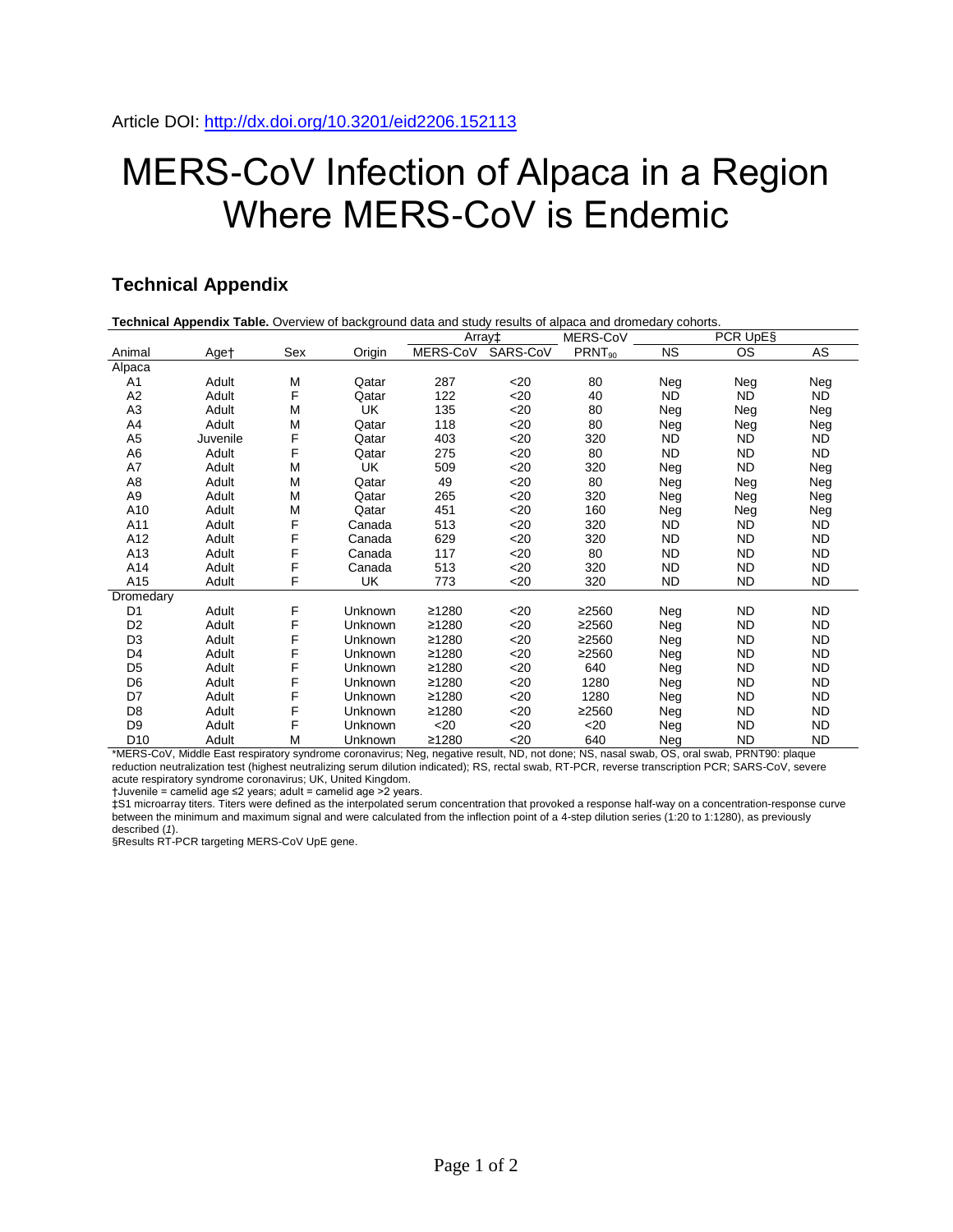## MERS-CoV Infection of Alpaca in a Region Where MERS-CoV is Endemic

## **Technical Appendix**

| Technical Appendix Table. Overview of background data and study results of alpaca and dromedary cohorts. |          |     |         |          |          |                    |           |           |           |
|----------------------------------------------------------------------------------------------------------|----------|-----|---------|----------|----------|--------------------|-----------|-----------|-----------|
|                                                                                                          |          |     |         | Array‡   |          | MERS-CoV           | PCR UpE§  |           |           |
| Animal                                                                                                   | Aget     | Sex | Origin  | MERS-CoV | SARS-CoV | PRNT <sub>90</sub> | <b>NS</b> | OS        | AS        |
| Alpaca                                                                                                   |          |     |         |          |          |                    |           |           |           |
| A1                                                                                                       | Adult    | M   | Qatar   | 287      | $<$ 20   | 80                 | Neg       | Neg       | Neg       |
| A <sub>2</sub>                                                                                           | Adult    | F   | Qatar   | 122      | $20$     | 40                 | <b>ND</b> | ND.       | <b>ND</b> |
| A <sub>3</sub>                                                                                           | Adult    | M   | UK      | 135      | $20$     | 80                 | Neg       | Neg       | Neg       |
| A4                                                                                                       | Adult    | M   | Qatar   | 118      | $<$ 20   | 80                 | Neg       | Neg       | Neg       |
| A5                                                                                                       | Juvenile | F   | Qatar   | 403      | $<$ 20   | 320                | ND.       | ND.       | <b>ND</b> |
| A6                                                                                                       | Adult    | F   | Qatar   | 275      | $20$     | 80                 | ND.       | <b>ND</b> | <b>ND</b> |
| A7                                                                                                       | Adult    | M   | UK      | 509      | $<$ 20   | 320                | Neg       | <b>ND</b> | Neg       |
| A8                                                                                                       | Adult    | M   | Qatar   | 49       | $20$     | 80                 | Neg       | Neg       | Neg       |
| A9                                                                                                       | Adult    | M   | Qatar   | 265      | $<$ 20   | 320                | Neg       | Neg       | Neg       |
| A10                                                                                                      | Adult    | M   | Qatar   | 451      | $<$ 20   | 160                | Neg       | Neg       | Neg       |
| A11                                                                                                      | Adult    | F   | Canada  | 513      | $<$ 20   | 320                | ND.       | ND        | ND.       |
| A12                                                                                                      | Adult    | F   | Canada  | 629      | $20$     | 320                | <b>ND</b> | <b>ND</b> | <b>ND</b> |
| A13                                                                                                      | Adult    | F   | Canada  | 117      | $20$     | 80                 | ND.       | <b>ND</b> | <b>ND</b> |
| A14                                                                                                      | Adult    | F   | Canada  | 513      | $20$     | 320                | <b>ND</b> | <b>ND</b> | <b>ND</b> |
| A15                                                                                                      | Adult    | F   | UK      | 773      | $<$ 20   | 320                | ND.       | <b>ND</b> | <b>ND</b> |
| Dromedary                                                                                                |          |     |         |          |          |                    |           |           |           |
| D <sub>1</sub>                                                                                           | Adult    | F   | Unknown | ≥1280    | $<$ 20   | ≥2560              | Neg       | <b>ND</b> | <b>ND</b> |
| D <sub>2</sub>                                                                                           | Adult    | F   | Unknown | ≥1280    | $<$ 20   | ≥2560              | Neg       | ND        | <b>ND</b> |
| D <sub>3</sub>                                                                                           | Adult    | F   | Unknown | ≥1280    | $<$ 20   | ≥2560              | Neg       | <b>ND</b> | <b>ND</b> |
| D4                                                                                                       | Adult    | F   | Unknown | ≥1280    | $<$ 20   | ≥2560              | Neg       | <b>ND</b> | <b>ND</b> |
| D <sub>5</sub>                                                                                           | Adult    | F   | Unknown | ≥1280    | $<$ 20   | 640                | Neg       | <b>ND</b> | <b>ND</b> |
| D <sub>6</sub>                                                                                           | Adult    | F   | Unknown | ≥1280    | $<$ 20   | 1280               | Neg       | <b>ND</b> | <b>ND</b> |
| D7                                                                                                       | Adult    | F   | Unknown | ≥1280    | $<$ 20   | 1280               | Neg       | <b>ND</b> | <b>ND</b> |
| D <sub>8</sub>                                                                                           | Adult    | F   | Unknown | ≥1280    | $<$ 20   | ≥2560              | Neg       | ND        | <b>ND</b> |
| D <sub>9</sub>                                                                                           | Adult    | F   | Unknown | $20$     | $20$     | $20$               | Neg       | <b>ND</b> | <b>ND</b> |
| D <sub>10</sub>                                                                                          | Adult    | M   | Unknown | ≥1280    | $20$     | 640                | Neg       | <b>ND</b> | <b>ND</b> |

\*MERS-CoV, Middle East respiratory syndrome coronavirus; Neg, negative result, ND, not done; NS, nasal swab, OS, oral swab, PRNT90: plaque reduction neutralization test (highest neutralizing serum dilution indicated); RS, rectal swab, RT-PCR, reverse transcription PCR; SARS-CoV, severe acute respiratory syndrome coronavirus; UK, United Kingdom.

†Juvenile = camelid age ≤2 years; adult = camelid age >2 years.

‡S1 microarray titers. Titers were defined as the interpolated serum concentration that provoked a response half-way on a concentration-response curve between the minimum and maximum signal and were calculated from the inflection point of a 4-step dilution series (1:20 to 1:1280), as previously described (*1*).

§Results RT-PCR targeting MERS-CoV UpE gene.